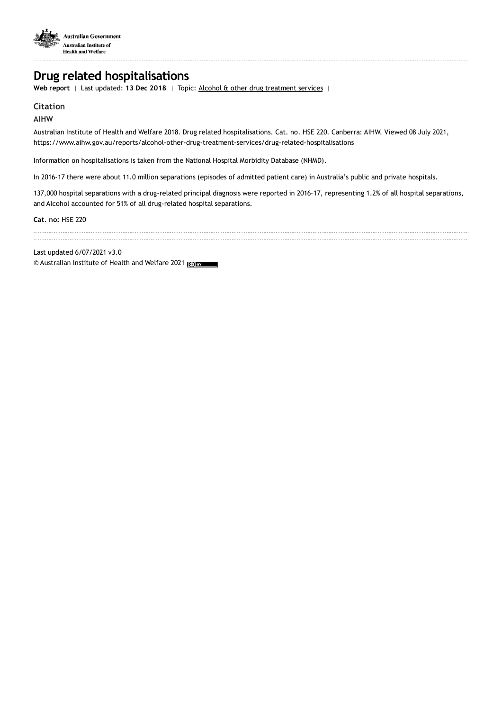

# **Drug related hospitalisations**

**Web report** | Last updated: **13 Dec 2018** | Topic: Alcohol & other drug [treatment](https://www.aihw.gov.au/reports-data/health-welfare-services/alcohol-other-drug-treatment-services) services |

# **Citation**

## **AIHW**

Australian Institute of Health and Welfare 2018. Drug related hospitalisations. Cat. no. HSE 220. Canberra: AIHW. Viewed 08 July 2021, https://www.aihw.gov.au/reports/alcohol-other-drug-treatment-services/drug-related-hospitalisations

Information on hospitalisations is taken from the National Hospital Morbidity Database (NHMD).

In 2016-17 there were about 11.0 million separations (episodes of admitted patient care) in Australia's public and private hospitals.

137,000 hospital separations with a drug-related principal diagnosis were reported in 2016–17, representing 1.2% of all hospital separations, and Alcohol accounted for 51% of all drug-related hospital separations.

**Cat. no:** HSE 220

Last updated 6/07/2021 v3.0

© Australian Institute of Health and Welfare 2021 (@) BY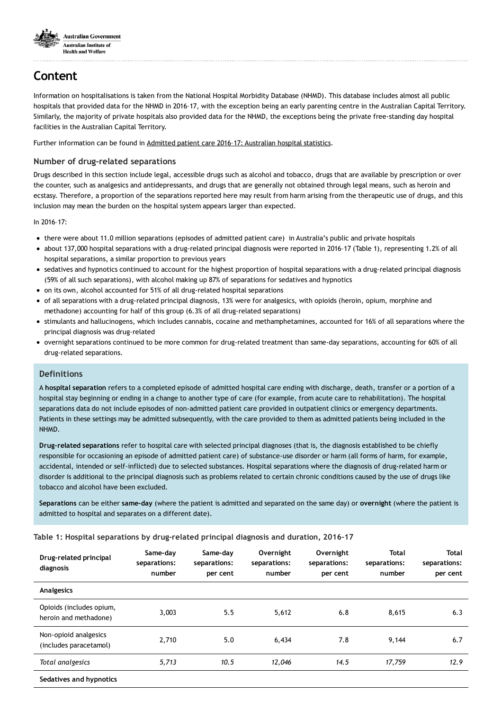

# **Content**

Information on hospitalisations is taken from the National Hospital Morbidity Database (NHMD). This database includes almost all public hospitals that provided data for the NHMD in 2016–17, with the exception being an early parenting centre in the Australian Capital Territory. Similarly, the majority of private hospitals also provided data for the NHMD, the exceptions being the private free-standing day hospital facilities in the Australian Capital Territory.

Further information can be found in Admitted patient care 2016-17: [Australian](https://www.aihw.gov.au/reports/hospitals/ahs-2016-17-admitted-patient-care/contents/table-of-contents) hospital statistics.

#### **Number of drug-related separations**

Drugs described in this section include legal, accessible drugs such as alcohol and tobacco, drugs that are available by prescription or over the counter, such as analgesics and antidepressants, and drugs that are generally not obtained through legal means, such as heroin and ecstasy. Therefore, a proportion of the separations reported here may result from harm arising from the therapeutic use of drugs, and this inclusion may mean the burden on the hospital system appears larger than expected.

In 2016–17:

- there were about 11.0 million separations (episodes of admitted patient care) in Australia's public and private hospitals
- about 137,000 hospital separations with a drug-related principal diagnosis were reported in 2016–17 (Table 1), representing 1.2% of all hospital separations, a similar proportion to previous years
- sedatives and hypnotics continued to account for the highest proportion of hospital separations with a drug-related principal diagnosis (59% of all such separations), with alcohol making up 87% of separations for sedatives and hypnotics
- on its own, alcohol accounted for 51% of all drug-related hospital separations
- of all separations with a drug-related principal diagnosis, 13% were for analgesics, with opioids (heroin, opium, morphine and methadone) accounting for half of this group (6.3% of all drug-related separations)
- stimulants and hallucinogens, which includes cannabis, cocaine and methamphetamines, accounted for 16% of all separations where the principal diagnosis was drug-related
- overnight separations continued to be more common for drug-related treatment than same-day separations, accounting for 60% of all drug-related separations.

### **Definitions**

A **hospital separation** refers to a completed episode of admitted hospital care ending with discharge, death, transfer or a portion of a hospital stay beginning or ending in a change to another type of care (for example, from acute care to rehabilitation). The hospital separations data do not include episodes of non-admitted patient care provided in outpatient clinics or emergency departments. Patients in these settings may be admitted subsequently, with the care provided to them as admitted patients being included in the NHMD.

**Drug-related separations** refer to hospital care with selected principal diagnoses (that is, the diagnosis established to be chiefly responsible for occasioning an episode of admitted patient care) of substance-use disorder or harm (all forms of harm, for example, accidental, intended or self-inflicted) due to selected substances. Hospital separations where the diagnosis of drug-related harm or disorder is additional to the principal diagnosis such as problems related to certain chronic conditions caused by the use of drugs like tobacco and alcohol have been excluded.

**Separations** can be either **same-day** (where the patient is admitted and separated on the same day) or **overnight** (where the patient is admitted to hospital and separates on a different date).

#### **Table 1: Hospital separations by drug-related principal diagnosis and duration, 2016–17**

| Drug-related principal<br>diagnosis               | Same-day<br>separations:<br>number | Same-day<br>separations:<br>per cent | Overnight<br>separations:<br>number | Overnight<br>separations:<br>per cent | <b>Total</b><br>separations:<br>number | <b>Total</b><br>separations:<br>per cent |
|---------------------------------------------------|------------------------------------|--------------------------------------|-------------------------------------|---------------------------------------|----------------------------------------|------------------------------------------|
| Analgesics                                        |                                    |                                      |                                     |                                       |                                        |                                          |
| Opioids (includes opium,<br>heroin and methadone) | 3,003                              | 5.5                                  | 5,612                               | 6.8                                   | 8,615                                  | 6.3                                      |
| Non-opioid analgesics<br>(includes paracetamol)   | 2,710                              | 5.0                                  | 6,434                               | 7.8                                   | 9,144                                  | 6.7                                      |
| Total analgesics                                  | 5,713                              | 10.5                                 | 12,046                              | 14.5                                  | 17,759                                 | 12.9                                     |
| Sedatives and hypnotics                           |                                    |                                      |                                     |                                       |                                        |                                          |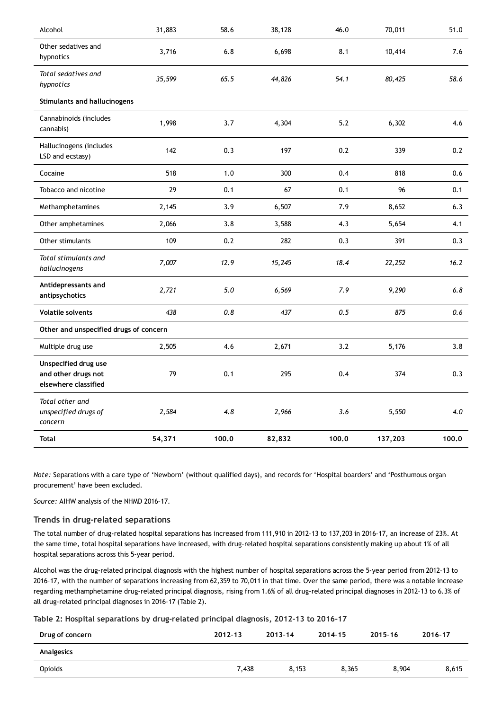| Alcohol                                                             | 31,883 | 58.6  | 38,128 | 46.0  | 70,011  | 51.0  |
|---------------------------------------------------------------------|--------|-------|--------|-------|---------|-------|
| Other sedatives and<br>hypnotics                                    | 3,716  | 6.8   | 6,698  | 8.1   | 10,414  | 7.6   |
| Total sedatives and<br>hypnotics                                    | 35,599 | 65.5  | 44,826 | 54.1  | 80,425  | 58.6  |
| <b>Stimulants and hallucinogens</b>                                 |        |       |        |       |         |       |
| Cannabinoids (includes<br>cannabis)                                 | 1,998  | 3.7   | 4,304  | 5.2   | 6,302   | 4.6   |
| Hallucinogens (includes<br>LSD and ecstasy)                         | 142    | 0.3   | 197    | 0.2   | 339     | 0.2   |
| Cocaine                                                             | 518    | 1.0   | 300    | 0.4   | 818     | 0.6   |
| Tobacco and nicotine                                                | 29     | 0.1   | 67     | 0.1   | 96      | 0.1   |
| Methamphetamines                                                    | 2,145  | 3.9   | 6,507  | 7.9   | 8,652   | 6.3   |
| Other amphetamines                                                  | 2,066  | 3.8   | 3,588  | 4.3   | 5,654   | 4.1   |
| Other stimulants                                                    | 109    | 0.2   | 282    | 0.3   | 391     | 0.3   |
| Total stimulants and<br>hallucinogens                               | 7,007  | 12.9  | 15,245 | 18.4  | 22,252  | 16.2  |
| Antidepressants and<br>antipsychotics                               | 2,721  | 5.0   | 6,569  | 7.9   | 9,290   | 6.8   |
| <b>Volatile solvents</b>                                            | 438    | 0.8   | 437    | 0.5   | 875     | 0.6   |
| Other and unspecified drugs of concern                              |        |       |        |       |         |       |
| Multiple drug use                                                   | 2,505  | 4.6   | 2,671  | 3.2   | 5,176   | 3.8   |
| Unspecified drug use<br>and other drugs not<br>elsewhere classified | 79     | 0.1   | 295    | 0.4   | 374     | 0.3   |
| Total other and<br>unspecified drugs of<br>concern                  | 2,584  | 4.8   | 2,966  | 3.6   | 5,550   | 4.0   |
| <b>Total</b>                                                        | 54,371 | 100.0 | 82,832 | 100.0 | 137,203 | 100.0 |

*Note:* Separations with a care type of 'Newborn' (without qualified days), and records for 'Hospital boarders' and 'Posthumous organ procurement' have been excluded.

*Source:* AIHW analysis of the NHMD 2016–17.

#### **Trends in drug-related separations**

The total number of drug-related hospital separations has increased from 111,910 in 2012–13 to 137,203 in 2016–17, an increase of 23%. At the same time, total hospital separations have increased, with drug-related hospital separations consistently making up about 1% of all hospital separations across this 5-year period.

Alcohol was the drug-related principal diagnosis with the highest number of hospital separations across the 5-year period from 2012–13 to 2016–17, with the number of separations increasing from 62,359 to 70,011 in that time. Over the same period, there was a notable increase regarding methamphetamine drug-related principal diagnosis, rising from 1.6% of all drug-related principal diagnoses in 2012–13 to 6.3% of all drug-related principal diagnoses in 2016–17 (Table 2).

|  |  |  |  |  | Table 2: Hospital separations by drug-related principal diagnosis, 2012-13 to 2016-17 |
|--|--|--|--|--|---------------------------------------------------------------------------------------|
|--|--|--|--|--|---------------------------------------------------------------------------------------|

| Drug of concern | $2012 - 13$ | 2013-14 | 2014-15 | 2015-16 | 2016-17 |
|-----------------|-------------|---------|---------|---------|---------|
| Analgesics      |             |         |         |         |         |
| Opioids         | 7.438       | 8,153   | 8,365   | 8.904   | 8,615   |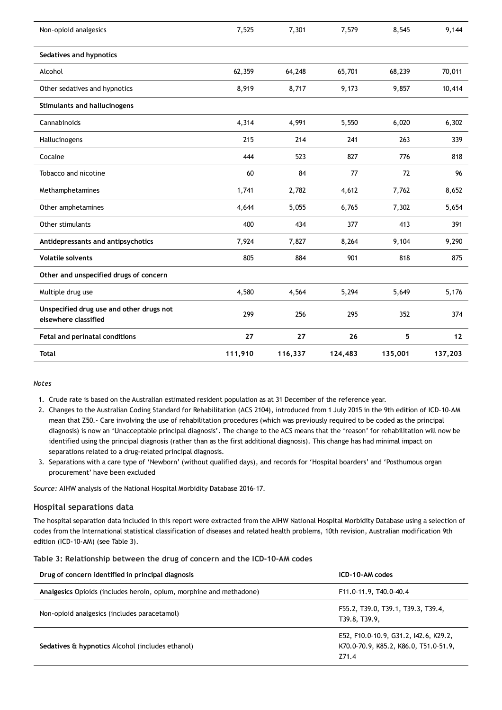| Non-opioid analgesics                                            | 7,525   | 7,301   | 7,579   | 8,545   | 9,144   |
|------------------------------------------------------------------|---------|---------|---------|---------|---------|
| Sedatives and hypnotics                                          |         |         |         |         |         |
| Alcohol                                                          | 62,359  | 64,248  | 65,701  | 68,239  | 70,011  |
| Other sedatives and hypnotics                                    | 8,919   | 8,717   | 9,173   | 9,857   | 10,414  |
| <b>Stimulants and hallucinogens</b>                              |         |         |         |         |         |
| Cannabinoids                                                     | 4,314   | 4,991   | 5,550   | 6,020   | 6,302   |
| Hallucinogens                                                    | 215     | 214     | 241     | 263     | 339     |
| Cocaine                                                          | 444     | 523     | 827     | 776     | 818     |
| Tobacco and nicotine                                             | 60      | 84      | 77      | 72      | 96      |
| Methamphetamines                                                 | 1,741   | 2,782   | 4,612   | 7,762   | 8,652   |
| Other amphetamines                                               | 4,644   | 5,055   | 6,765   | 7,302   | 5,654   |
| Other stimulants                                                 | 400     | 434     | 377     | 413     | 391     |
| Antidepressants and antipsychotics                               | 7,924   | 7,827   | 8,264   | 9,104   | 9,290   |
| <b>Volatile solvents</b>                                         | 805     | 884     | 901     | 818     | 875     |
| Other and unspecified drugs of concern                           |         |         |         |         |         |
| Multiple drug use                                                | 4,580   | 4,564   | 5,294   | 5,649   | 5,176   |
| Unspecified drug use and other drugs not<br>elsewhere classified | 299     | 256     | 295     | 352     | 374     |
| Fetal and perinatal conditions                                   | 27      | 27      | 26      | 5       | 12      |
| <b>Total</b>                                                     | 111,910 | 116,337 | 124,483 | 135,001 | 137,203 |

#### *Notes*

- 1. Crude rate is based on the Australian estimated resident population as at 31 December of the reference year.
- 2. Changes to the Australian Coding Standard for Rehabilitation (ACS 2104), introduced from 1 July 2015 in the 9th edition of ICD-10-AM mean that Z50.- Care involving the use of rehabilitation procedures (which was previously required to be coded as the principal diagnosis) is now an 'Unacceptable principal diagnosis'. The change to the ACS means that the 'reason' for rehabilitation will now be identified using the principal diagnosis (rather than as the first additional diagnosis). This change has had minimal impact on separations related to a drug-related principal diagnosis.
- 3. Separations with a care type of 'Newborn' (without qualified days), and records for 'Hospital boarders' and 'Posthumous organ procurement' have been excluded

*Source:* AIHW analysis of the National Hospital Morbidity Database 2016–17.

#### **Hospital separations data**

The hospital separation data included in this report were extracted from the AIHW National Hospital Morbidity Database using a selection of codes from the International statistical classification of diseases and related health problems, 10th revision, Australian modification 9th edition (ICD-10-AM) (see Table 3).

|  |  |  |  | Table 3: Relationship between the drug of concern and the ICD-10-AM codes |
|--|--|--|--|---------------------------------------------------------------------------|
|--|--|--|--|---------------------------------------------------------------------------|

| Drug of concern identified in principal diagnosis                   | ICD-10-AM codes                                                                         |
|---------------------------------------------------------------------|-----------------------------------------------------------------------------------------|
| Analgesics Opioids (includes heroin, opium, morphine and methadone) | F11.0-11.9, T40.0-40.4                                                                  |
| Non-opioid analgesics (includes paracetamol)                        | F55.2, T39.0, T39.1, T39.3, T39.4,<br>T39.8, T39.9,                                     |
| Sedatives & hypnotics Alcohol (includes ethanol)                    | E52, F10.0-10.9, G31.2, I42.6, K29.2,<br>K70.0-70.9, K85.2, K86.0, T51.0-51.9,<br>Z71.4 |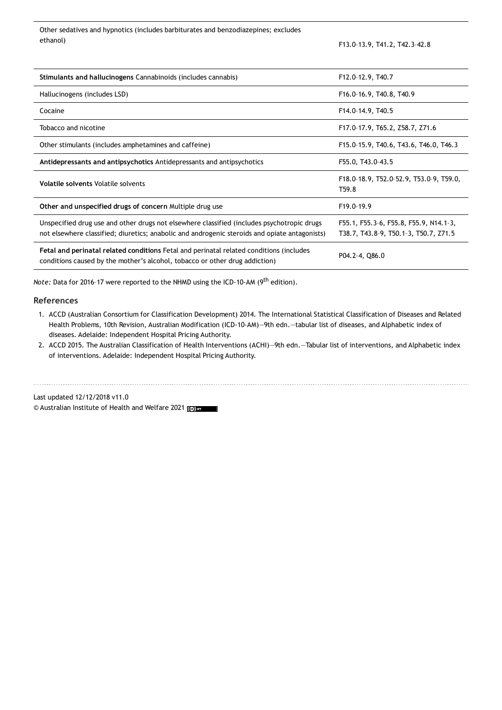Other sedatives and hypnotics (includes barbiturates and benzodiazepines; excludes ethanol) F13.0–13.9, T41.2, T42.3–42.8

| Stimulants and hallucinogens Cannabinoids (includes cannabis)                                                                                                                               | F12.0-12.9, T40.7                                                               |
|---------------------------------------------------------------------------------------------------------------------------------------------------------------------------------------------|---------------------------------------------------------------------------------|
| Hallucinogens (includes LSD)                                                                                                                                                                | F16.0-16.9, T40.8, T40.9                                                        |
| Cocaine                                                                                                                                                                                     | F14.0-14.9, T40.5                                                               |
| Tobacco and nicotine                                                                                                                                                                        | F17.0-17.9, T65.2, Z58.7, Z71.6                                                 |
| Other stimulants (includes amphetamines and caffeine)                                                                                                                                       | F15.0-15.9, T40.6, T43.6, T46.0, T46.3                                          |
| Antidepressants and antipsychotics Antidepressants and antipsychotics                                                                                                                       | F55.0, T43.0-43.5                                                               |
| <b>Volatile solvents Volatile solvents</b>                                                                                                                                                  | F18.0-18.9, T52.0-52.9, T53.0-9, T59.0,<br>T59.8                                |
| Other and unspecified drugs of concern Multiple drug use                                                                                                                                    | F19.0-19.9                                                                      |
| Unspecified drug use and other drugs not elsewhere classified (includes psychotropic drugs<br>not elsewhere classified; diuretics; anabolic and androgenic steroids and opiate antagonists) | F55.1, F55.3-6, F55.8, F55.9, N14.1-3,<br>T38.7, T43.8-9, T50.1-3, T50.7, Z71.5 |
| Fetal and perinatal related conditions Fetal and perinatal related conditions (includes<br>conditions caused by the mother's alcohol, tobacco or other drug addiction)                      | P04.2-4, Q86.0                                                                  |

*Note:* Data for 2016-17 were reported to the NHMD using the ICD-10-AM (9<sup>th</sup> edition).

#### **References**

- 1. ACCD (Australian Consortium for Classification Development) 2014. The International Statistical Classification of Diseases and Related Health Problems, 10th Revision, Australian Modification (ICD-10-AM)—9th edn.—tabular list of diseases, and Alphabetic index of diseases. Adelaide: Independent Hospital Pricing Authority.
- 2. ACCD 2015. The Australian Classification of Health Interventions (ACHI)—9th edn.—Tabular list of interventions, and Alphabetic index of interventions. Adelaide: Independent Hospital Pricing Authority.

Last updated 12/12/2018 v11.0 © Australian Institute of Health and Welfare 2021 [@] BY